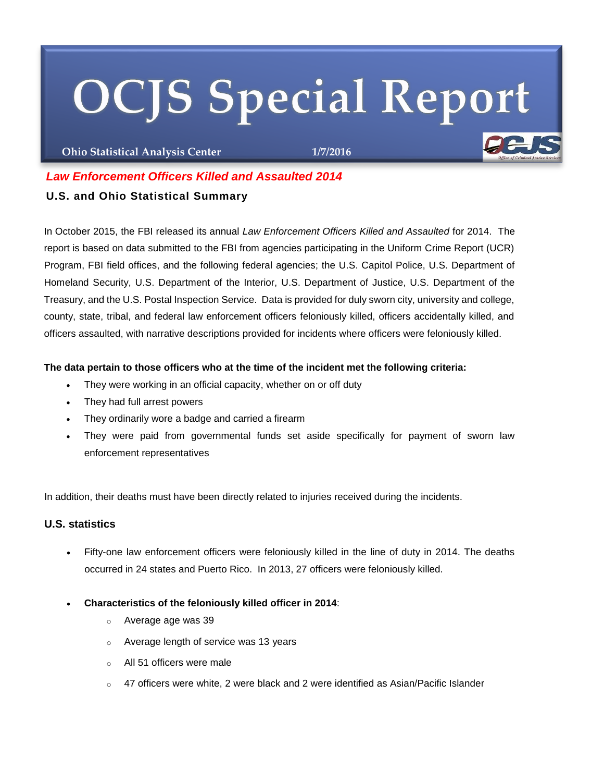# **OCJS Special Report**

**Ohio Statistical Analysis Center 1/7/2016**

# *Law Enforcement Officers Killed and Assaulted 2014*

## **U.S. and Ohio Statistical Summary**

In October 2015, the FBI released its annual *Law Enforcement Officers Killed and Assaulted* for 2014. The report is based on data submitted to the FBI from agencies participating in the Uniform Crime Report (UCR) Program, FBI field offices, and the following federal agencies; the U.S. Capitol Police, U.S. Department of Homeland Security, U.S. Department of the Interior, U.S. Department of Justice, U.S. Department of the Treasury, and the U.S. Postal Inspection Service. Data is provided for duly sworn city, university and college, county, state, tribal, and federal law enforcement officers feloniously killed, officers accidentally killed, and officers assaulted, with narrative descriptions provided for incidents where officers were feloniously killed.

## **The data pertain to those officers who at the time of the incident met the following criteria:**

- They were working in an official capacity, whether on or off duty
- They had full arrest powers
- They ordinarily wore a badge and carried a firearm
- They were paid from governmental funds set aside specifically for payment of sworn law enforcement representatives

In addition, their deaths must have been directly related to injuries received during the incidents.

## **U.S. statistics**

- Fifty-one law enforcement officers were feloniously killed in the line of duty in 2014. The deaths occurred in 24 states and Puerto Rico. In 2013, 27 officers were feloniously killed.
- **Characteristics of the feloniously killed officer in 2014**:
	- o Average age was 39
	- o Average length of service was 13 years
	- o All 51 officers were male
	- $\circ$  47 officers were white, 2 were black and 2 were identified as Asian/Pacific Islander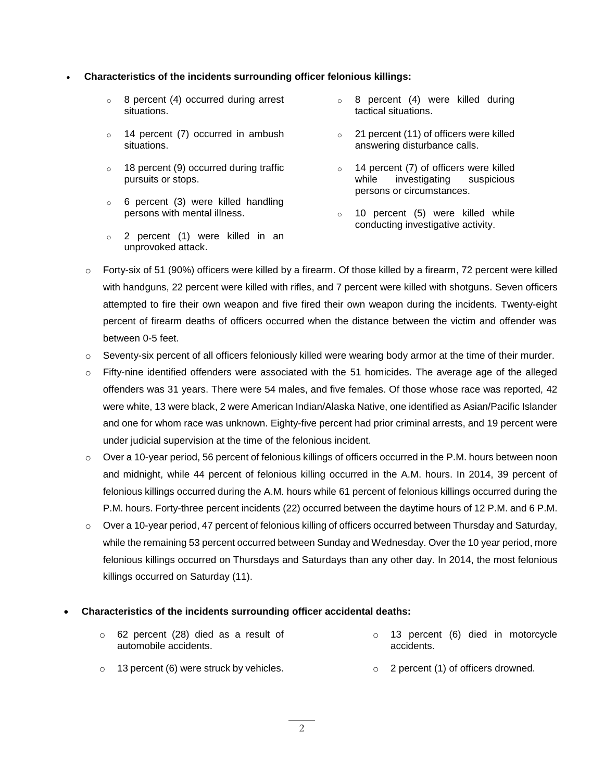#### **Characteristics of the incidents surrounding officer felonious killings:**

- o 8 percent (4) occurred during arrest situations.
- o 14 percent (7) occurred in ambush situations.
- o 18 percent (9) occurred during traffic pursuits or stops.
- o 6 percent (3) were killed handling persons with mental illness.
- o 2 percent (1) were killed in an unprovoked attack.
- o 8 percent (4) were killed during tactical situations.
- o 21 percent (11) of officers were killed answering disturbance calls.
- o 14 percent (7) of officers were killed while investigating suspicious persons or circumstances.
- o 10 percent (5) were killed while conducting investigative activity.
- $\circ$  Forty-six of 51 (90%) officers were killed by a firearm. Of those killed by a firearm, 72 percent were killed with handguns, 22 percent were killed with rifles, and 7 percent were killed with shotguns. Seven officers attempted to fire their own weapon and five fired their own weapon during the incidents. Twenty-eight percent of firearm deaths of officers occurred when the distance between the victim and offender was between 0-5 feet.
- $\circ$  Seventy-six percent of all officers feloniously killed were wearing body armor at the time of their murder.
- $\circ$  Fifty-nine identified offenders were associated with the 51 homicides. The average age of the alleged offenders was 31 years. There were 54 males, and five females. Of those whose race was reported, 42 were white, 13 were black, 2 were American Indian/Alaska Native, one identified as Asian/Pacific Islander and one for whom race was unknown. Eighty-five percent had prior criminal arrests, and 19 percent were under judicial supervision at the time of the felonious incident.
- o Over a 10-year period, 56 percent of felonious killings of officers occurred in the P.M. hours between noon and midnight, while 44 percent of felonious killing occurred in the A.M. hours. In 2014, 39 percent of felonious killings occurred during the A.M. hours while 61 percent of felonious killings occurred during the P.M. hours. Forty-three percent incidents (22) occurred between the daytime hours of 12 P.M. and 6 P.M.
- o Over a 10-year period, 47 percent of felonious killing of officers occurred between Thursday and Saturday, while the remaining 53 percent occurred between Sunday and Wednesday. Over the 10 year period, more felonious killings occurred on Thursdays and Saturdays than any other day. In 2014, the most felonious killings occurred on Saturday (11).

#### **Characteristics of the incidents surrounding officer accidental deaths:**

| $\circ$ 62 percent (28) died as a result of<br>automobile accidents. | $\circ$ 13 percent (6) died in motorcycle<br>accidents. |
|----------------------------------------------------------------------|---------------------------------------------------------|
| $\circ$ 13 percent (6) were struck by vehicles.                      | $\circ$ 2 percent (1) of officers drowned.              |

 $\mathcal{L}$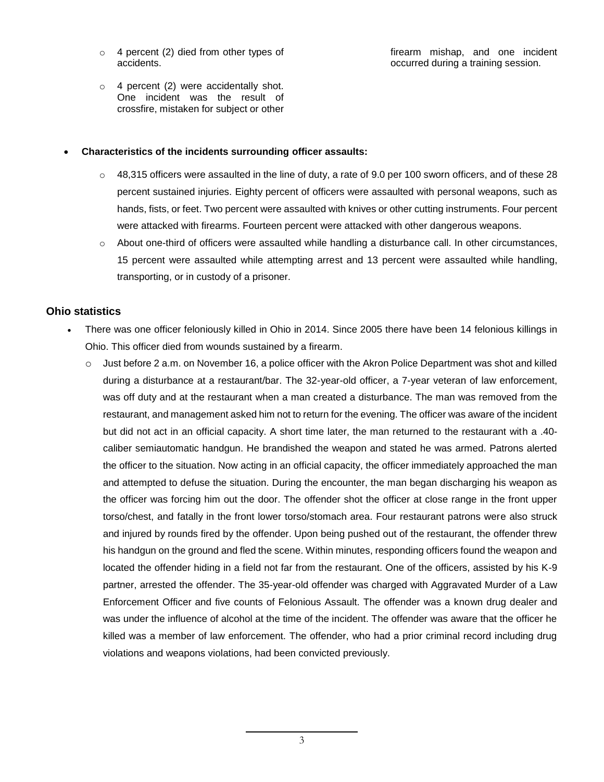- o 4 percent (2) died from other types of accidents.
- o 4 percent (2) were accidentally shot. One incident was the result of crossfire, mistaken for subject or other

#### firearm mishap, and one incident occurred during a training session.

#### **Characteristics of the incidents surrounding officer assaults:**

- $\circ$  48,315 officers were assaulted in the line of duty, a rate of 9.0 per 100 sworn officers, and of these 28 percent sustained injuries. Eighty percent of officers were assaulted with personal weapons, such as hands, fists, or feet. Two percent were assaulted with knives or other cutting instruments. Four percent were attacked with firearms. Fourteen percent were attacked with other dangerous weapons.
- o About one-third of officers were assaulted while handling a disturbance call. In other circumstances, 15 percent were assaulted while attempting arrest and 13 percent were assaulted while handling, transporting, or in custody of a prisoner.

## **Ohio statistics**

- There was one officer feloniously killed in Ohio in 2014. Since 2005 there have been 14 felonious killings in Ohio. This officer died from wounds sustained by a firearm.
	- $\circ$  Just before 2 a.m. on November 16, a police officer with the Akron Police Department was shot and killed during a disturbance at a restaurant/bar. The 32-year-old officer, a 7-year veteran of law enforcement, was off duty and at the restaurant when a man created a disturbance. The man was removed from the restaurant, and management asked him not to return for the evening. The officer was aware of the incident but did not act in an official capacity. A short time later, the man returned to the restaurant with a .40 caliber semiautomatic handgun. He brandished the weapon and stated he was armed. Patrons alerted the officer to the situation. Now acting in an official capacity, the officer immediately approached the man and attempted to defuse the situation. During the encounter, the man began discharging his weapon as the officer was forcing him out the door. The offender shot the officer at close range in the front upper torso/chest, and fatally in the front lower torso/stomach area. Four restaurant patrons were also struck and injured by rounds fired by the offender. Upon being pushed out of the restaurant, the offender threw his handgun on the ground and fled the scene. Within minutes, responding officers found the weapon and located the offender hiding in a field not far from the restaurant. One of the officers, assisted by his K-9 partner, arrested the offender. The 35-year-old offender was charged with Aggravated Murder of a Law Enforcement Officer and five counts of Felonious Assault. The offender was a known drug dealer and was under the influence of alcohol at the time of the incident. The offender was aware that the officer he killed was a member of law enforcement. The offender, who had a prior criminal record including drug violations and weapons violations, had been convicted previously.